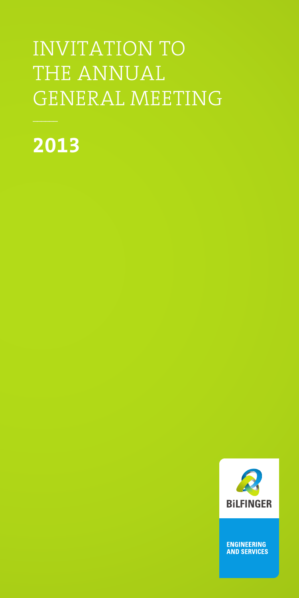# INVITATION TO THE ANNUAL GENERAL MEETING

**2013**



ENGINEERING<br>AND SERVICES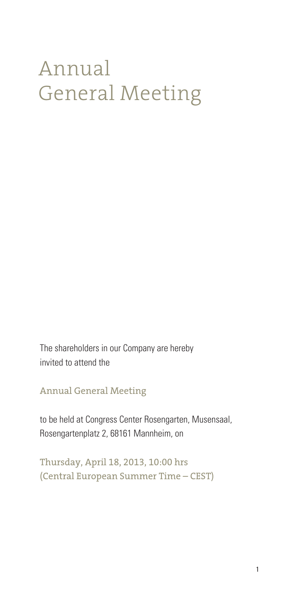# Annual General Meeting

The shareholders in our Company are hereby invited to attend the

Annual General Meeting

to be held at Congress Center Rosengarten, Musensaal, Rosengartenplatz 2, 68161 Mannheim, on

Thursday, April 18, 2013, 10:00 hrs (Central European Summer Time – CEST)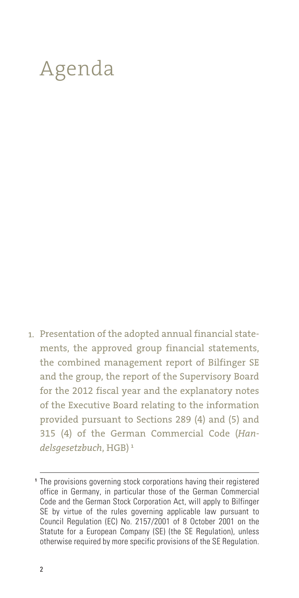# Agenda

Presentation of the adopted annual financial state-1.ments, the approved group financial statements, the combined management report of Bilfinger SE and the group, the report of the Supervisory Board for the 2012 fiscal year and the explanatory notes of the Executive Board relating to the information provided pursuant to Sections 289 (4) and (5) and 315 (4) of the German Commercial Code (*Handelsgesetzbuch*, HGB) **<sup>1</sup>**

The provisions governing stock corporations having their registered **1** office in Germany, in particular those of the German Commercial Code and the German Stock Corporation Act, will apply to Bilfinger SE by virtue of the rules governing applicable law pursuant to Council Regulation (EC) No. 2157/2001 of 8 October 2001 on the Statute for a European Company (SE) (the SE Regulation), unless otherwise required by more specific provisions of the SE Regulation.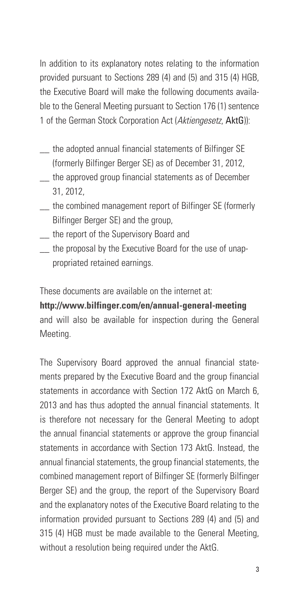In addition to its explanatory notes relating to the information provided pursuant to Sections 289 (4) and (5) and 315 (4) HGB, the Executive Board will make the following documents available to the General Meeting pursuant to Section 176 (1) sentence 1 of the German Stock Corporation Act (*Aktiengesetz*, AktG)):

- \_\_ the adopted annual financial statements of Bilfinger SE (formerly Bilfinger Berger SE) as of December 31, 2012,
- \_\_ the approved group financial statements as of December 31, 2012,
- \_\_ the combined management report of Bilfinger SE (formerly Bilfinger Berger SE) and the group,
- \_\_ the report of the Supervisory Board and
- the proposal by the Executive Board for the use of unappropriated retained earnings.

These documents are available on the internet at:

**http://www.bilfinger.com/en/annual-general-meeting** and will also be available for inspection during the General Meeting.

The Supervisory Board approved the annual financial statements prepared by the Executive Board and the group financial statements in accordance with Section 172 AktG on March 6, 2013 and has thus adopted the annual financial statements. It is therefore not necessary for the General Meeting to adopt the annual financial statements or approve the group financial statements in accordance with Section 173 AktG. Instead, the annual financial statements, the group financial statements, the combined management report of Bilfinger SE (formerly Bilfinger Berger SE) and the group, the report of the Supervisory Board and the explanatory notes of the Executive Board relating to the information provided pursuant to Sections 289 (4) and (5) and 315 (4) HGB must be made available to the General Meeting, without a resolution being required under the AktG.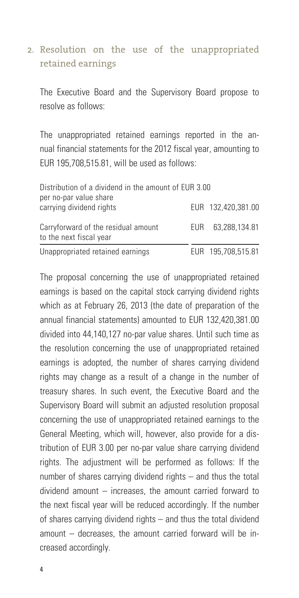### 2. Resolution on the use of the unappropriated retained earnings

The Executive Board and the Supervisory Board propose to resolve as follows:

The unappropriated retained earnings reported in the annual financial statements for the 2012 fiscal year, amounting to EUR 195,708,515.81, will be used as follows:

| Distribution of a dividend in the amount of EUR 3.00<br>per no-par value share |      |                    |  |
|--------------------------------------------------------------------------------|------|--------------------|--|
| carrying dividend rights                                                       |      | EUR 132.420.381.00 |  |
| Carryforward of the residual amount<br>to the next fiscal year                 | FUR. | 63.288.134.81      |  |
| Unappropriated retained earnings                                               |      | EUR 195,708,515.81 |  |

The proposal concerning the use of unappropriated retained earnings is based on the capital stock carrying dividend rights which as at February 26, 2013 (the date of preparation of the annual financial statements) amounted to EUR 132,420,381.00 divided into 44,140,127 no-par value shares. Until such time as the resolution concerning the use of unappropriated retained earnings is adopted, the number of shares carrying dividend rights may change as a result of a change in the number of treasury shares. In such event, the Executive Board and the Supervisory Board will submit an adjusted resolution proposal concerning the use of unappropriated retained earnings to the General Meeting, which will, however, also provide for a distribution of EUR 3.00 per no-par value share carrying dividend rights. The adjustment will be performed as follows: If the number of shares carrying dividend rights – and thus the total dividend amount – increases, the amount carried forward to the next fiscal year will be reduced accordingly. If the number of shares carrying dividend rights – and thus the total dividend amount – decreases, the amount carried forward will be increased accordingly.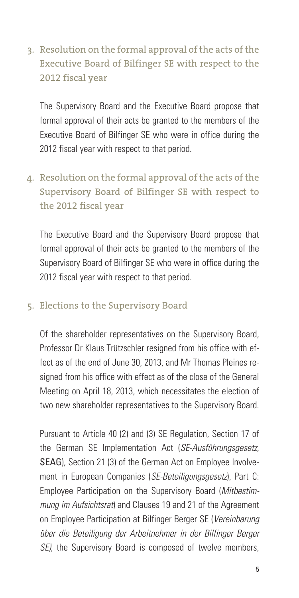3. Resolution on the formal approval of the acts of the Executive Board of Bilfinger SE with respect to the 2012 fiscal year

The Supervisory Board and the Executive Board propose that formal approval of their acts be granted to the members of the Executive Board of Bilfinger SE who were in office during the 2012 fiscal year with respect to that period.

Resolution on the formal approval of the acts of the 4. Supervisory Board of Bilfinger SE with respect to the 2012 fiscal year

The Executive Board and the Supervisory Board propose that formal approval of their acts be granted to the members of the Supervisory Board of Bilfinger SE who were in office during the 2012 fiscal year with respect to that period.

#### 5. Elections to the Supervisory Board

Of the shareholder representatives on the Supervisory Board, Professor Dr Klaus Trützschler resigned from his office with effect as of the end of June 30, 2013, and Mr Thomas Pleines resigned from his office with effect as of the close of the General Meeting on April 18, 2013, which necessitates the election of two new shareholder representatives to the Supervisory Board.

Pursuant to Article 40 (2) and (3) SE Regulation, Section 17 of the German SE Implementation Act (*SE-Ausführungsgesetz*, SEAG), Section 21 (3) of the German Act on Employee Involvement in European Companies (*SE-Beteiligungsgesetz*), Part C: Employee Participation on the Supervisory Board (*Mitbestimmung im Aufsichtsrat*) and Clauses 19 and 21 of the Agreement on Employee Participation at Bilfinger Berger SE (*Vereinbarung über die Beteiligung der Arbeitnehmer in der Bilfinger Berger SE)*, the Supervisory Board is composed of twelve members,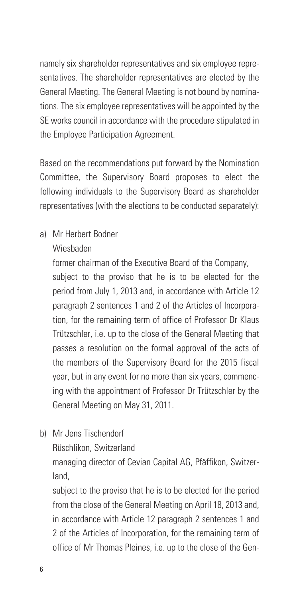namely six shareholder representatives and six employee representatives. The shareholder representatives are elected by the General Meeting. The General Meeting is not bound by nominations. The six employee representatives will be appointed by the SE works council in accordance with the procedure stipulated in the Employee Participation Agreement.

Based on the recommendations put forward by the Nomination Committee, the Supervisory Board proposes to elect the following individuals to the Supervisory Board as shareholder representatives (with the elections to be conducted separately):

a) Mr Herbert Bodner

#### Wiesbaden

former chairman of the Executive Board of the Company,

subject to the proviso that he is to be elected for the period from July 1, 2013 and, in accordance with Article 12 paragraph 2 sentences 1 and 2 of the Articles of Incorporation, for the remaining term of office of Professor Dr Klaus Trützschler, i.e. up to the close of the General Meeting that passes a resolution on the formal approval of the acts of the members of the Supervisory Board for the 2015 fiscal year, but in any event for no more than six years, commencing with the appointment of Professor Dr Trützschler by the General Meeting on May 31, 2011.

- b) Mr Jens Tischendorf
	- Rüschlikon, Switzerland

managing director of Cevian Capital AG, Pfäffikon, Switzerland,

subject to the proviso that he is to be elected for the period from the close of the General Meeting on April 18, 2013 and, in accordance with Article 12 paragraph 2 sentences 1 and 2 of the Articles of Incorporation, for the remaining term of office of Mr Thomas Pleines, i.e. up to the close of the Gen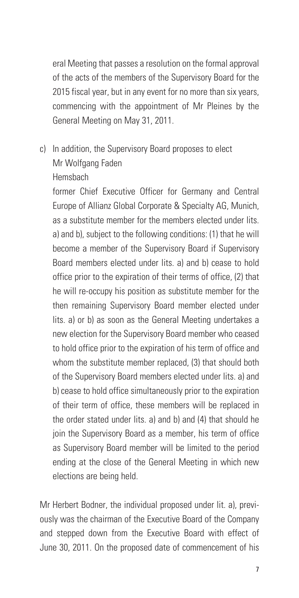eral Meeting that passes a resolution on the formal approval of the acts of the members of the Supervisory Board for the 2015 fiscal year, but in any event for no more than six years, commencing with the appointment of Mr Pleines by the General Meeting on May 31, 2011.

# c) In addition, the Supervisory Board proposes to elect Mr Wolfgang Faden Hemsbach

former Chief Executive Officer for Germany and Central Europe of Allianz Global Corporate & Specialty AG, Munich, as a substitute member for the members elected under lits. a) and b), subject to the following conditions: (1) that he will become a member of the Supervisory Board if Supervisory Board members elected under lits. a) and b) cease to hold office prior to the expiration of their terms of office, (2) that he will re-occupy his position as substitute member for the then remaining Supervisory Board member elected under lits. a) or b) as soon as the General Meeting undertakes a new election for the Supervisory Board member who ceased to hold office prior to the expiration of his term of office and whom the substitute member replaced, (3) that should both of the Supervisory Board members elected under lits. a) and b) cease to hold office simultaneously prior to the expiration of their term of office, these members will be replaced in the order stated under lits. a) and b) and (4) that should he join the Supervisory Board as a member, his term of office as Supervisory Board member will be limited to the period ending at the close of the General Meeting in which new elections are being held.

Mr Herbert Bodner, the individual proposed under lit. a), previously was the chairman of the Executive Board of the Company and stepped down from the Executive Board with effect of June 30, 2011. On the proposed date of commencement of his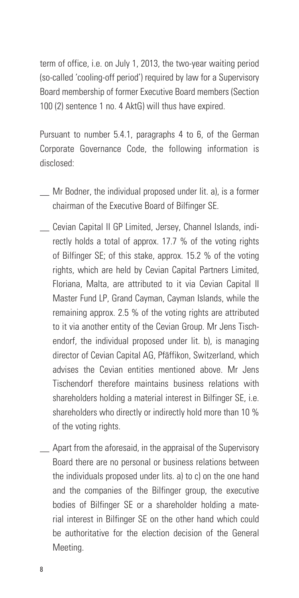term of office, i.e. on July 1, 2013, the two-year waiting period (so-called 'cooling-off period') required by law for a Supervisory Board membership of former Executive Board members (Section 100 (2) sentence 1 no. 4 AktG) will thus have expired.

Pursuant to number 5.4.1, paragraphs 4 to 6, of the German Corporate Governance Code, the following information is disclosed:

- \_\_ Mr Bodner, the individual proposed under lit. a), is a former chairman of the Executive Board of Bilfinger SE.
- \_\_ Cevian Capital II GP Limited, Jersey, Channel Islands, indirectly holds a total of approx. 17.7 % of the voting rights of Bilfinger SE; of this stake, approx. 15.2 % of the voting rights, which are held by Cevian Capital Partners Limited, Floriana, Malta, are attributed to it via Cevian Capital II Master Fund LP, Grand Cayman, Cayman Islands, while the remaining approx. 2.5 % of the voting rights are attributed to it via another entity of the Cevian Group. Mr Jens Tischendorf, the individual proposed under lit. b), is managing director of Cevian Capital AG, Pfäffikon, Switzerland, which advises the Cevian entities mentioned above. Mr Jens Tischendorf therefore maintains business relations with shareholders holding a material interest in Bilfinger SE, i.e. shareholders who directly or indirectly hold more than 10 % of the voting rights.
- \_\_ Apart from the aforesaid, in the appraisal of the Supervisory Board there are no personal or business relations between the individuals proposed under lits. a) to c) on the one hand and the companies of the Bilfinger group, the executive bodies of Bilfinger SE or a shareholder holding a material interest in Bilfinger SE on the other hand which could be authoritative for the election decision of the General **Meeting**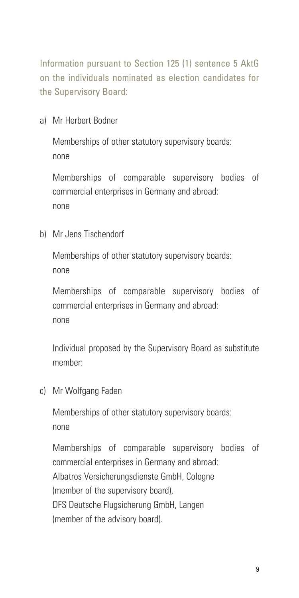Information pursuant to Section 125 (1) sentence 5 AktG on the individuals nominated as election candidates for the Supervisory Board:

a) Mr Herbert Bodner

Memberships of other statutory supervisory boards: none

Memberships of comparable supervisory bodies of commercial enterprises in Germany and abroad: none

b) Mr Jens Tischendorf

Memberships of other statutory supervisory boards: none

Memberships of comparable supervisory bodies of commercial enterprises in Germany and abroad: none

Individual proposed by the Supervisory Board as substitute member:

c) Mr Wolfgang Faden

Memberships of other statutory supervisory boards: none

Memberships of comparable supervisory bodies of commercial enterprises in Germany and abroad: Albatros Versicherungsdienste GmbH, Cologne (member of the supervisory board), DFS Deutsche Flugsicherung GmbH, Langen (member of the advisory board).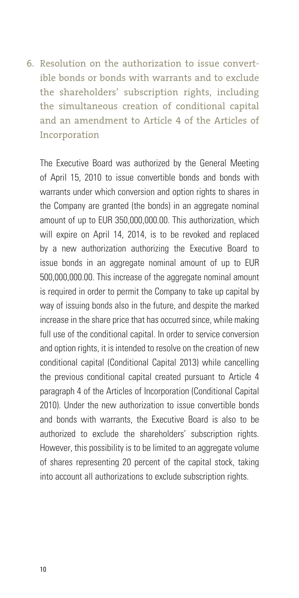6. Resolution on the authorization to issue convertible bonds or bonds with warrants and to exclude the shareholders' subscription rights, including the simultaneous creation of conditional capital and an amendment to Article 4 of the Articles of Incorporation

The Executive Board was authorized by the General Meeting of April 15, 2010 to issue convertible bonds and bonds with warrants under which conversion and option rights to shares in the Company are granted (the bonds) in an aggregate nominal amount of up to EUR 350,000,000.00. This authorization, which will expire on April 14, 2014, is to be revoked and replaced by a new authorization authorizing the Executive Board to issue bonds in an aggregate nominal amount of up to EUR 500,000,000.00. This increase of the aggregate nominal amount is required in order to permit the Company to take up capital by way of issuing bonds also in the future, and despite the marked increase in the share price that has occurred since, while making full use of the conditional capital. In order to service conversion and option rights, it is intended to resolve on the creation of new conditional capital (Conditional Capital 2013) while cancelling the previous conditional capital created pursuant to Article 4 paragraph 4 of the Articles of Incorporation (Conditional Capital 2010). Under the new authorization to issue convertible bonds and bonds with warrants, the Executive Board is also to be authorized to exclude the shareholders' subscription rights. However, this possibility is to be limited to an aggregate volume of shares representing 20 percent of the capital stock, taking into account all authorizations to exclude subscription rights.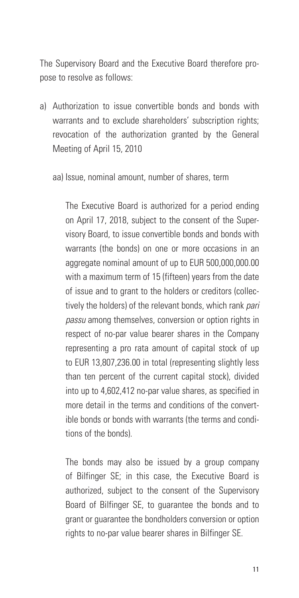The Supervisory Board and the Executive Board therefore propose to resolve as follows:

a) Authorization to issue convertible bonds and bonds with warrants and to exclude shareholders' subscription rights; revocation of the authorization granted by the General Meeting of April 15, 2010

aa) Issue, nominal amount, number of shares, term

The Executive Board is authorized for a period ending on April 17, 2018, subject to the consent of the Supervisory Board, to issue convertible bonds and bonds with warrants (the bonds) on one or more occasions in an aggregate nominal amount of up to EUR 500,000,000.00 with a maximum term of 15 (fifteen) years from the date of issue and to grant to the holders or creditors (collectively the holders) of the relevant bonds, which rank *pari passu* among themselves, conversion or option rights in respect of no-par value bearer shares in the Company representing a pro rata amount of capital stock of up to EUR 13,807,236.00 in total (representing slightly less than ten percent of the current capital stock), divided into up to 4,602,412 no-par value shares, as specified in more detail in the terms and conditions of the convertible bonds or bonds with warrants (the terms and conditions of the bonds).

The bonds may also be issued by a group company of Bilfinger SE; in this case, the Executive Board is authorized, subject to the consent of the Supervisory Board of Bilfinger SE, to guarantee the bonds and to grant or guarantee the bondholders conversion or option rights to no-par value bearer shares in Bilfinger SE.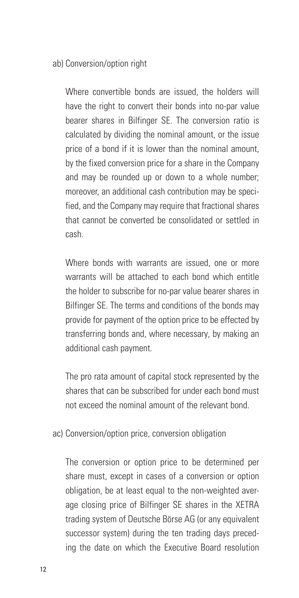#### ab) Conversion/option right

Where convertible bonds are issued, the holders will have the right to convert their bonds into no-par value bearer shares in Bilfinger SE. The conversion ratio is calculated by dividing the nominal amount, or the issue price of a bond if it is lower than the nominal amount, by the fixed conversion price for a share in the Company and may be rounded up or down to a whole number; moreover, an additional cash contribution may be specified, and the Company may require that fractional shares that cannot be converted be consolidated or settled in cash.

Where bonds with warrants are issued, one or more warrants will be attached to each bond which entitle the holder to subscribe for no-par value bearer shares in Bilfinger SE. The terms and conditions of the bonds may provide for payment of the option price to be effected by transferring bonds and, where necessary, by making an additional cash payment.

The pro rata amount of capital stock represented by the shares that can be subscribed for under each bond must not exceed the nominal amount of the relevant bond.

ac) Conversion/option price, conversion obligation

The conversion or option price to be determined per share must, except in cases of a conversion or option obligation, be at least equal to the non-weighted average closing price of Bilfinger SE shares in the XETRA trading system of Deutsche Börse AG (or any equivalent successor system) during the ten trading days preceding the date on which the Executive Board resolution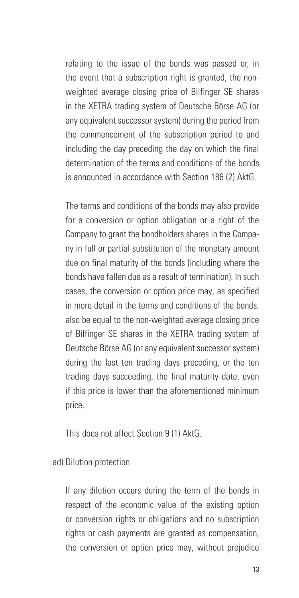relating to the issue of the bonds was passed or, in the event that a subscription right is granted, the nonweighted average closing price of Bilfinger SE shares in the XETRA trading system of Deutsche Börse AG (or any equivalent successor system) during the period from the commencement of the subscription period to and including the day preceding the day on which the final determination of the terms and conditions of the bonds is announced in accordance with Section 186 (2) AktG.

The terms and conditions of the bonds may also provide for a conversion or option obligation or a right of the Company to grant the bondholders shares in the Company in full or partial substitution of the monetary amount due on final maturity of the bonds (including where the bonds have fallen due as a result of termination). In such cases, the conversion or option price may, as specified in more detail in the terms and conditions of the bonds, also be equal to the non-weighted average closing price of Bilfinger SE shares in the XETRA trading system of Deutsche Börse AG (or any equivalent successor system) during the last ten trading days preceding, or the ten trading days succeeding, the final maturity date, even if this price is lower than the aforementioned minimum price.

This does not affect Section 9 (1) AktG.

ad) Dilution protection

If any dilution occurs during the term of the bonds in respect of the economic value of the existing option or conversion rights or obligations and no subscription rights or cash payments are granted as compensation, the conversion or option price may, without prejudice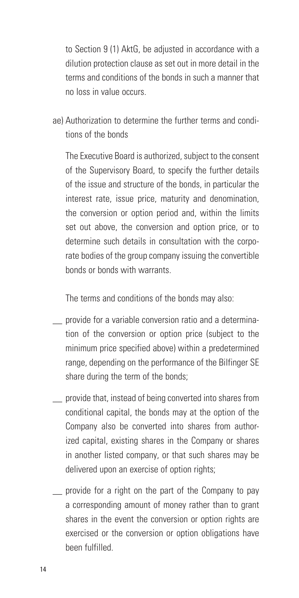to Section 9 (1) AktG, be adjusted in accordance with a dilution protection clause as set out in more detail in the terms and conditions of the bonds in such a manner that no loss in value occurs.

ae) Authorization to determine the further terms and conditions of the bonds

The Executive Board is authorized, subject to the consent of the Supervisory Board, to specify the further details of the issue and structure of the bonds, in particular the interest rate, issue price, maturity and denomination, the conversion or option period and, within the limits set out above, the conversion and option price, or to determine such details in consultation with the corporate bodies of the group company issuing the convertible bonds or bonds with warrants.

The terms and conditions of the bonds may also:

- \_\_ provide for a variable conversion ratio and a determination of the conversion or option price (subject to the minimum price specified above) within a predetermined range, depending on the performance of the Bilfinger SE share during the term of the bonds;
- \_\_ provide that, instead of being converted into shares from conditional capital, the bonds may at the option of the Company also be converted into shares from authorized capital, existing shares in the Company or shares in another listed company, or that such shares may be delivered upon an exercise of option rights:
- \_\_ provide for a right on the part of the Company to pay a corresponding amount of money rather than to grant shares in the event the conversion or option rights are exercised or the conversion or option obligations have been fulfilled.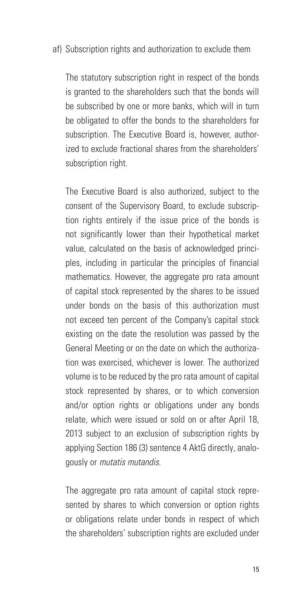#### af) Subscription rights and authorization to exclude them

The statutory subscription right in respect of the bonds is granted to the shareholders such that the bonds will be subscribed by one or more banks, which will in turn be obligated to offer the bonds to the shareholders for subscription. The Executive Board is, however, authorized to exclude fractional shares from the shareholders' subscription right.

The Executive Board is also authorized, subject to the consent of the Supervisory Board, to exclude subscription rights entirely if the issue price of the bonds is not significantly lower than their hypothetical market value, calculated on the basis of acknowledged principles, including in particular the principles of financial mathematics. However, the aggregate pro rata amount of capital stock represented by the shares to be issued under bonds on the basis of this authorization must not exceed ten percent of the Company's capital stock existing on the date the resolution was passed by the General Meeting or on the date on which the authorization was exercised, whichever is lower. The authorized volume is to be reduced by the pro rata amount of capital stock represented by shares, or to which conversion and/or option rights or obligations under any bonds relate, which were issued or sold on or after April 18, 2013 subject to an exclusion of subscription rights by applying Section 186 (3) sentence 4 AktG directly, analogously or *mutatis mutandis*.

The aggregate pro rata amount of capital stock represented by shares to which conversion or option rights or obligations relate under bonds in respect of which the shareholders' subscription rights are excluded under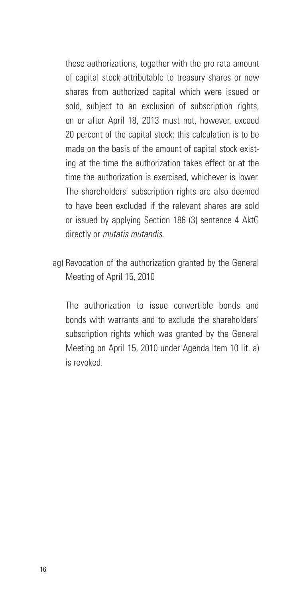these authorizations, together with the pro rata amount of capital stock attributable to treasury shares or new shares from authorized capital which were issued or sold, subject to an exclusion of subscription rights, on or after April 18, 2013 must not, however, exceed 20 percent of the capital stock; this calculation is to be made on the basis of the amount of capital stock existing at the time the authorization takes effect or at the time the authorization is exercised, whichever is lower. The shareholders' subscription rights are also deemed to have been excluded if the relevant shares are sold or issued by applying Section 186 (3) sentence 4 AktG directly or *mutatis mutandis*.

ag) Revocation of the authorization granted by the General Meeting of April 15, 2010

The authorization to issue convertible bonds and bonds with warrants and to exclude the shareholders' subscription rights which was granted by the General Meeting on April 15, 2010 under Agenda Item 10 lit. a) is revoked.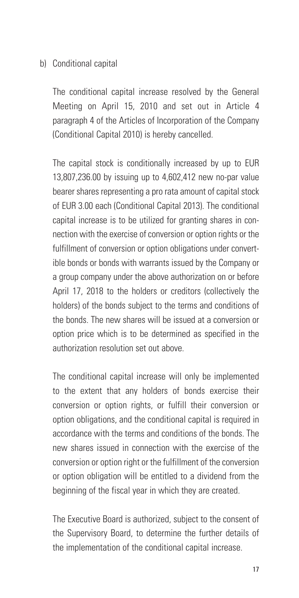#### b) Conditional capital

The conditional capital increase resolved by the General Meeting on April 15, 2010 and set out in Article 4 paragraph 4 of the Articles of Incorporation of the Company (Conditional Capital 2010) is hereby cancelled.

The capital stock is conditionally increased by up to EUR 13,807,236.00 by issuing up to 4,602,412 new no-par value bearer shares representing a pro rata amount of capital stock of EUR 3.00 each (Conditional Capital 2013). The conditional capital increase is to be utilized for granting shares in connection with the exercise of conversion or option rights or the fulfillment of conversion or option obligations under convertible bonds or bonds with warrants issued by the Company or a group company under the above authorization on or before April 17, 2018 to the holders or creditors (collectively the holders) of the bonds subject to the terms and conditions of the bonds. The new shares will be issued at a conversion or option price which is to be determined as specified in the authorization resolution set out above.

The conditional capital increase will only be implemented to the extent that any holders of bonds exercise their conversion or option rights, or fulfill their conversion or option obligations, and the conditional capital is required in accordance with the terms and conditions of the bonds. The new shares issued in connection with the exercise of the conversion or option right or the fulfillment of the conversion or option obligation will be entitled to a dividend from the beginning of the fiscal year in which they are created.

The Executive Board is authorized, subject to the consent of the Supervisory Board, to determine the further details of the implementation of the conditional capital increase.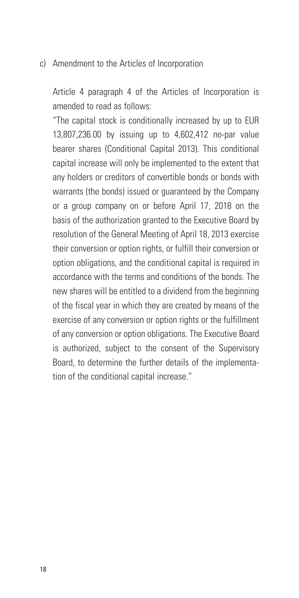#### c) Amendment to the Articles of Incorporation

Article 4 paragraph 4 of the Articles of Incorporation is amended to read as follows:

"The capital stock is conditionally increased by up to EUR 13,807,236.00 by issuing up to 4,602,412 no-par value bearer shares (Conditional Capital 2013). This conditional capital increase will only be implemented to the extent that any holders or creditors of convertible bonds or bonds with warrants (the bonds) issued or guaranteed by the Company or a group company on or before April 17, 2018 on the basis of the authorization granted to the Executive Board by resolution of the General Meeting of April 18, 2013 exercise their conversion or option rights, or fulfill their conversion or option obligations, and the conditional capital is required in accordance with the terms and conditions of the bonds. The new shares will be entitled to a dividend from the beginning of the fiscal year in which they are created by means of the exercise of any conversion or option rights or the fulfillment of any conversion or option obligations. The Executive Board is authorized, subject to the consent of the Supervisory Board, to determine the further details of the implementation of the conditional capital increase."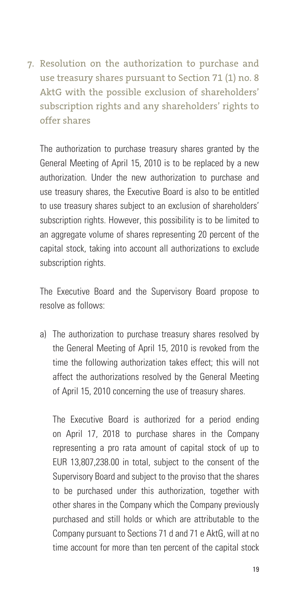7. Resolution on the authorization to purchase and use treasury shares pursuant to Section 71 (1) no. 8 AktG with the possible exclusion of shareholders' subscription rights and any shareholders' rights to offer shares

The authorization to purchase treasury shares granted by the General Meeting of April 15, 2010 is to be replaced by a new authorization. Under the new authorization to purchase and use treasury shares, the Executive Board is also to be entitled to use treasury shares subject to an exclusion of shareholders' subscription rights. However, this possibility is to be limited to an aggregate volume of shares representing 20 percent of the capital stock, taking into account all authorizations to exclude subscription rights.

The Executive Board and the Supervisory Board propose to resolve as follows:

a) The authorization to purchase treasury shares resolved by the General Meeting of April 15, 2010 is revoked from the time the following authorization takes effect; this will not affect the authorizations resolved by the General Meeting of April 15, 2010 concerning the use of treasury shares.

The Executive Board is authorized for a period ending on April 17, 2018 to purchase shares in the Company representing a pro rata amount of capital stock of up to EUR 13,807,238.00 in total, subject to the consent of the Supervisory Board and subject to the proviso that the shares to be purchased under this authorization, together with other shares in the Company which the Company previously purchased and still holds or which are attributable to the Company pursuant to Sections 71 d and 71 e AktG, will at no time account for more than ten percent of the capital stock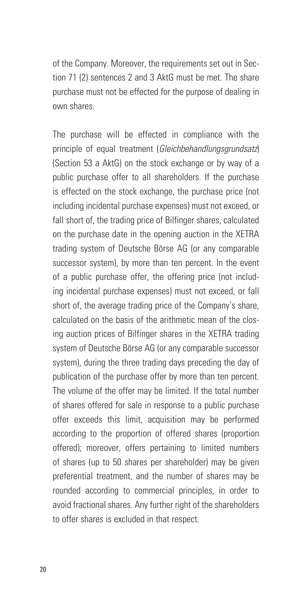of the Company. Moreover, the requirements set out in Section 71 (2) sentences 2 and 3 AktG must be met. The share purchase must not be effected for the purpose of dealing in own shares.

The purchase will be effected in compliance with the principle of equal treatment (*Gleichbehandlungsgrundsatz*) (Section 53 a AktG) on the stock exchange or by way of a public purchase offer to all shareholders. If the purchase is effected on the stock exchange, the purchase price (not including incidental purchase expenses) must not exceed, or fall short of, the trading price of Bilfinger shares, calculated on the purchase date in the opening auction in the XETRA trading system of Deutsche Börse AG (or any comparable successor system), by more than ten percent. In the event of a public purchase offer, the offering price (not including incidental purchase expenses) must not exceed, or fall short of, the average trading price of the Company's share, calculated on the basis of the arithmetic mean of the closing auction prices of Bilfinger shares in the XETRA trading system of Deutsche Börse AG (or any comparable successor system), during the three trading days preceding the day of publication of the purchase offer by more than ten percent. The volume of the offer may be limited. If the total number of shares offered for sale in response to a public purchase offer exceeds this limit, acquisition may be performed according to the proportion of offered shares (proportion offered); moreover, offers pertaining to limited numbers of shares (up to 50 shares per shareholder) may be given preferential treatment, and the number of shares may be rounded according to commercial principles, in order to avoid fractional shares. Any further right of the shareholders to offer shares is excluded in that respect.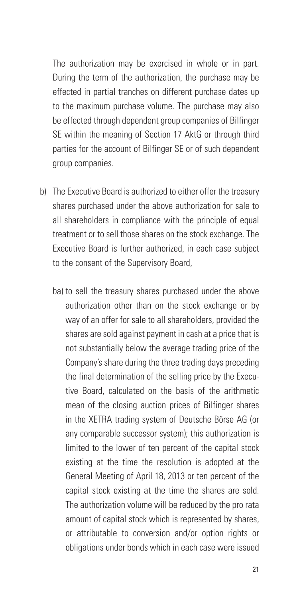The authorization may be exercised in whole or in part. During the term of the authorization, the purchase may be effected in partial tranches on different purchase dates up to the maximum purchase volume. The purchase may also be effected through dependent group companies of Bilfinger SE within the meaning of Section 17 AktG or through third parties for the account of Bilfinger SE or of such dependent group companies.

- b) The Executive Board is authorized to either offer the treasury shares purchased under the above authorization for sale to all shareholders in compliance with the principle of equal treatment or to sell those shares on the stock exchange. The Executive Board is further authorized, in each case subject to the consent of the Supervisory Board,
	- ba) to sell the treasury shares purchased under the above authorization other than on the stock exchange or by way of an offer for sale to all shareholders, provided the shares are sold against payment in cash at a price that is not substantially below the average trading price of the Company's share during the three trading days preceding the final determination of the selling price by the Executive Board, calculated on the basis of the arithmetic mean of the closing auction prices of Bilfinger shares in the XETRA trading system of Deutsche Börse AG (or any comparable successor system); this authorization is limited to the lower of ten percent of the capital stock existing at the time the resolution is adopted at the General Meeting of April 18, 2013 or ten percent of the capital stock existing at the time the shares are sold. The authorization volume will be reduced by the pro rata amount of capital stock which is represented by shares, or attributable to conversion and/or option rights or obligations under bonds which in each case were issued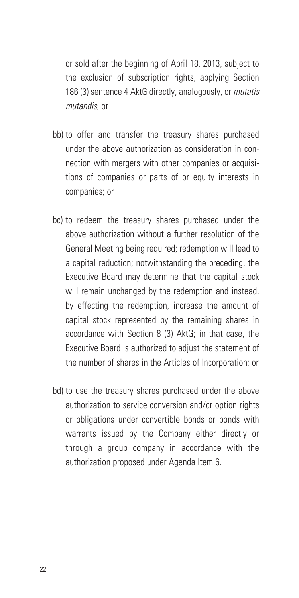or sold after the beginning of April 18, 2013, subject to the exclusion of subscription rights, applying Section 186 (3) sentence 4 AktG directly, analogously, or *mutatis mutandis*; or

- bb) to offer and transfer the treasury shares purchased under the above authorization as consideration in connection with mergers with other companies or acquisitions of companies or parts of or equity interests in companies; or
- bc) to redeem the treasury shares purchased under the above authorization without a further resolution of the General Meeting being required; redemption will lead to a capital reduction; notwithstanding the preceding, the Executive Board may determine that the capital stock will remain unchanged by the redemption and instead, by effecting the redemption, increase the amount of capital stock represented by the remaining shares in accordance with Section 8 (3) AktG; in that case, the Executive Board is authorized to adjust the statement of the number of shares in the Articles of Incorporation; or
- bd) to use the treasury shares purchased under the above authorization to service conversion and/or option rights or obligations under convertible bonds or bonds with warrants issued by the Company either directly or through a group company in accordance with the authorization proposed under Agenda Item 6.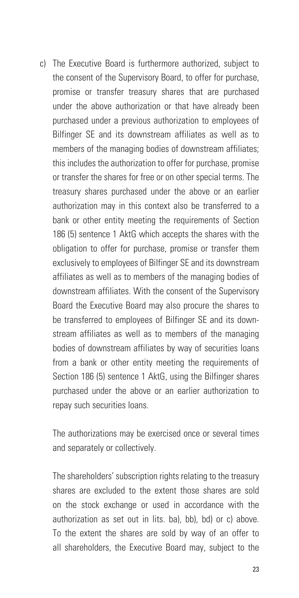c) The Executive Board is furthermore authorized, subject to the consent of the Supervisory Board, to offer for purchase, promise or transfer treasury shares that are purchased under the above authorization or that have already been purchased under a previous authorization to employees of Bilfinger SE and its downstream affiliates as well as to members of the managing bodies of downstream affiliates; this includes the authorization to offer for purchase, promise or transfer the shares for free or on other special terms. The treasury shares purchased under the above or an earlier authorization may in this context also be transferred to a bank or other entity meeting the requirements of Section 186 (5) sentence 1 AktG which accepts the shares with the obligation to offer for purchase, promise or transfer them exclusively to employees of Bilfinger SE and its downstream affiliates as well as to members of the managing bodies of downstream affiliates. With the consent of the Supervisory Board the Executive Board may also procure the shares to be transferred to employees of Bilfinger SE and its downstream affiliates as well as to members of the managing bodies of downstream affiliates by way of securities loans from a bank or other entity meeting the requirements of Section 186 (5) sentence 1 AktG, using the Bilfinger shares purchased under the above or an earlier authorization to repay such securities loans.

The authorizations may be exercised once or several times and separately or collectively.

The shareholders' subscription rights relating to the treasury shares are excluded to the extent those shares are sold on the stock exchange or used in accordance with the authorization as set out in lits. ba), bb), bd) or c) above. To the extent the shares are sold by way of an offer to all shareholders, the Executive Board may, subject to the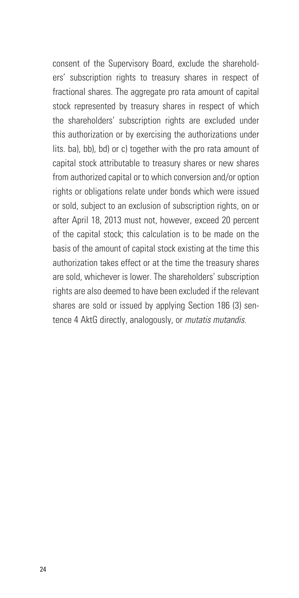consent of the Supervisory Board, exclude the shareholders' subscription rights to treasury shares in respect of fractional shares. The aggregate pro rata amount of capital stock represented by treasury shares in respect of which the shareholders' subscription rights are excluded under this authorization or by exercising the authorizations under lits. ba), bb), bd) or c) together with the pro rata amount of capital stock attributable to treasury shares or new shares from authorized capital or to which conversion and/or option rights or obligations relate under bonds which were issued or sold, subject to an exclusion of subscription rights, on or after April 18, 2013 must not, however, exceed 20 percent of the capital stock; this calculation is to be made on the basis of the amount of capital stock existing at the time this authorization takes effect or at the time the treasury shares are sold, whichever is lower. The shareholders' subscription rights are also deemed to have been excluded if the relevant shares are sold or issued by applying Section 186 (3) sentence 4 AktG directly, analogously, or *mutatis mutandis*.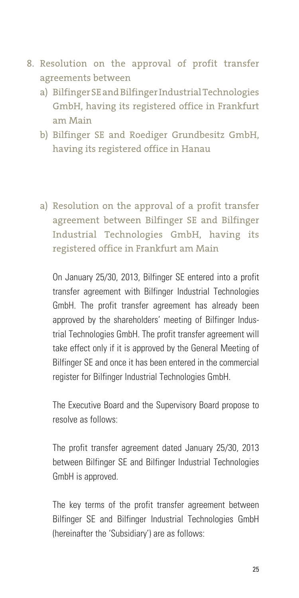- 8. Resolution on the approval of profit transfer agreements between
	- a) Bilfinger SE and Bilfinger Industrial Technologies GmbH, having its registered office in Frankfurt am Main
	- b) Bilfinger SE and Roediger Grundbesitz GmbH, having its registered office in Hanau
	- a) Resolution on the approval of a profit transfer agreement between Bilfinger SE and Bilfinger Industrial Technologies GmbH, having its registered office in Frankfurt am Main

On January 25/30, 2013, Bilfinger SE entered into a profit transfer agreement with Bilfinger Industrial Technologies GmbH. The profit transfer agreement has already been approved by the shareholders' meeting of Bilfinger Industrial Technologies GmbH. The profit transfer agreement will take effect only if it is approved by the General Meeting of Bilfinger SE and once it has been entered in the commercial register for Bilfinger Industrial Technologies GmbH.

The Executive Board and the Supervisory Board propose to resolve as follows:

The profit transfer agreement dated January 25/30, 2013 between Bilfinger SE and Bilfinger Industrial Technologies GmbH is approved.

The key terms of the profit transfer agreement between Bilfinger SE and Bilfinger Industrial Technologies GmbH (hereinafter the 'Subsidiary') are as follows: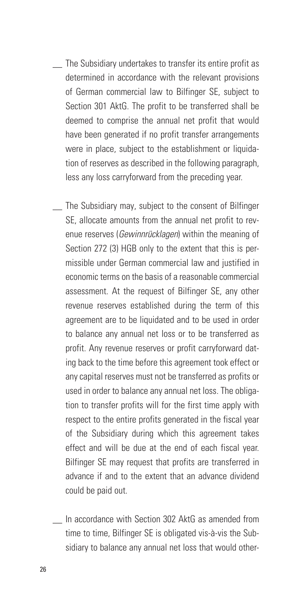- \_\_ The Subsidiary undertakes to transfer its entire profit as determined in accordance with the relevant provisions of German commercial law to Bilfinger SE, subject to Section 301 AktG. The profit to be transferred shall be deemed to comprise the annual net profit that would have been generated if no profit transfer arrangements were in place, subject to the establishment or liquidation of reserves as described in the following paragraph, less any loss carryforward from the preceding year.
- The Subsidiary may, subject to the consent of Bilfinger SE, allocate amounts from the annual net profit to revenue reserves (*Gewinnrücklagen*) within the meaning of Section 272 (3) HGB only to the extent that this is permissible under German commercial law and justified in economic terms on the basis of a reasonable commercial assessment. At the request of Bilfinger SE, any other revenue reserves established during the term of this agreement are to be liquidated and to be used in order to balance any annual net loss or to be transferred as profit. Any revenue reserves or profit carryforward dating back to the time before this agreement took effect or any capital reserves must not be transferred as profits or used in order to balance any annual net loss. The obligation to transfer profits will for the first time apply with respect to the entire profits generated in the fiscal year of the Subsidiary during which this agreement takes effect and will be due at the end of each fiscal year. Bilfinger SE may request that profits are transferred in advance if and to the extent that an advance dividend could be paid out.
- \_\_ In accordance with Section 302 AktG as amended from time to time, Bilfinger SE is obligated vis-à-vis the Subsidiary to balance any annual net loss that would other-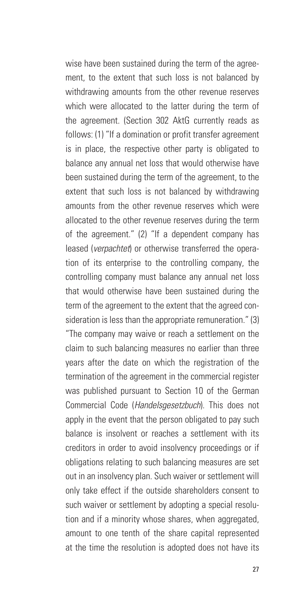wise have been sustained during the term of the agreement, to the extent that such loss is not balanced by withdrawing amounts from the other revenue reserves which were allocated to the latter during the term of the agreement. (Section 302 AktG currently reads as follows: (1) "If a domination or profit transfer agreement is in place, the respective other party is obligated to balance any annual net loss that would otherwise have been sustained during the term of the agreement, to the extent that such loss is not balanced by withdrawing amounts from the other revenue reserves which were allocated to the other revenue reserves during the term of the agreement." (2) "If a dependent company has leased (*verpachtet*) or otherwise transferred the operation of its enterprise to the controlling company, the controlling company must balance any annual net loss that would otherwise have been sustained during the term of the agreement to the extent that the agreed consideration is less than the appropriate remuneration." (3) "The company may waive or reach a settlement on the claim to such balancing measures no earlier than three years after the date on which the registration of the termination of the agreement in the commercial register was published pursuant to Section 10 of the German Commercial Code (*Handelsgesetzbuch*). This does not apply in the event that the person obligated to pay such balance is insolvent or reaches a settlement with its creditors in order to avoid insolvency proceedings or if obligations relating to such balancing measures are set out in an insolvency plan. Such waiver or settlement will only take effect if the outside shareholders consent to such waiver or settlement by adopting a special resolution and if a minority whose shares, when aggregated, amount to one tenth of the share capital represented at the time the resolution is adopted does not have its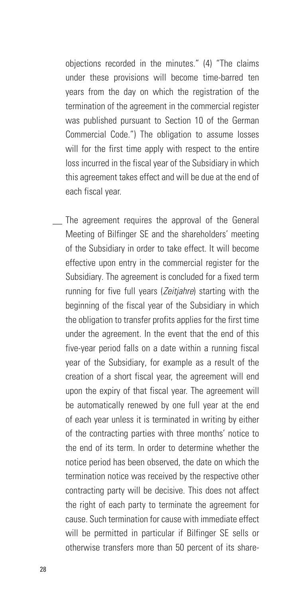objections recorded in the minutes." (4) "The claims under these provisions will become time-barred ten years from the day on which the registration of the termination of the agreement in the commercial register was published pursuant to Section 10 of the German Commercial Code.") The obligation to assume losses will for the first time apply with respect to the entire loss incurred in the fiscal year of the Subsidiary in which this agreement takes effect and will be due at the end of each fiscal year.

The agreement requires the approval of the General Meeting of Bilfinger SE and the shareholders' meeting of the Subsidiary in order to take effect. It will become effective upon entry in the commercial register for the Subsidiary. The agreement is concluded for a fixed term running for five full years (*Zeitjahre*) starting with the beginning of the fiscal year of the Subsidiary in which the obligation to transfer profits applies for the first time under the agreement. In the event that the end of this five-year period falls on a date within a running fiscal year of the Subsidiary, for example as a result of the creation of a short fiscal year, the agreement will end upon the expiry of that fiscal year. The agreement will be automatically renewed by one full year at the end of each year unless it is terminated in writing by either of the contracting parties with three months' notice to the end of its term. In order to determine whether the notice period has been observed, the date on which the termination notice was received by the respective other contracting party will be decisive. This does not affect the right of each party to terminate the agreement for cause. Such termination for cause with immediate effect will be permitted in particular if Bilfinger SE sells or otherwise transfers more than 50 percent of its share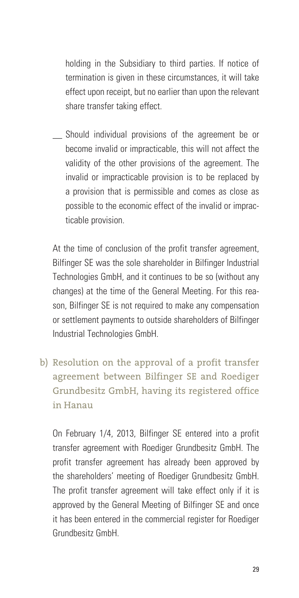holding in the Subsidiary to third parties. If notice of termination is given in these circumstances, it will take effect upon receipt, but no earlier than upon the relevant share transfer taking effect.

Should individual provisions of the agreement be or become invalid or impracticable, this will not affect the validity of the other provisions of the agreement. The invalid or impracticable provision is to be replaced by a provision that is permissible and comes as close as possible to the economic effect of the invalid or impracticable provision.

At the time of conclusion of the profit transfer agreement, Bilfinger SE was the sole shareholder in Bilfinger Industrial Technologies GmbH, and it continues to be so (without any changes) at the time of the General Meeting. For this reason, Bilfinger SE is not required to make any compensation or settlement payments to outside shareholders of Bilfinger Industrial Technologies GmbH.

b) Resolution on the approval of a profit transfer agreement between Bilfinger SE and Roediger Grundbesitz GmbH, having its registered office in Hanau

On February 1/4, 2013, Bilfinger SE entered into a profit transfer agreement with Roediger Grundbesitz GmbH. The profit transfer agreement has already been approved by the shareholders' meeting of Roediger Grundbesitz GmbH. The profit transfer agreement will take effect only if it is approved by the General Meeting of Bilfinger SE and once it has been entered in the commercial register for Roediger Grundbesitz GmbH.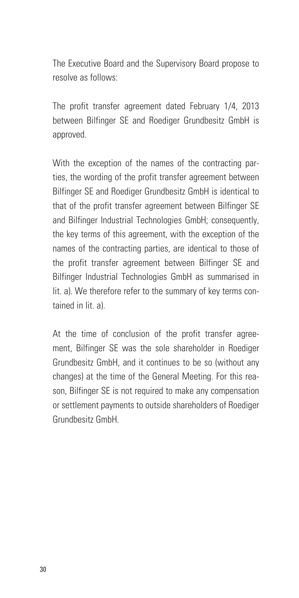The Executive Board and the Supervisory Board propose to resolve as follows:

The profit transfer agreement dated February 1/4, 2013 between Bilfinger SE and Roediger Grundbesitz GmbH is approved.

With the exception of the names of the contracting parties, the wording of the profit transfer agreement between Bilfinger SE and Roediger Grundbesitz GmbH is identical to that of the profit transfer agreement between Bilfinger SE and Bilfinger Industrial Technologies GmbH; consequently, the key terms of this agreement, with the exception of the names of the contracting parties, are identical to those of the profit transfer agreement between Bilfinger SE and Bilfinger Industrial Technologies GmbH as summarised in lit. a). We therefore refer to the summary of key terms contained in lit. a).

At the time of conclusion of the profit transfer agreement, Bilfinger SE was the sole shareholder in Roediger Grundbesitz GmbH, and it continues to be so (without any changes) at the time of the General Meeting. For this reason, Bilfinger SE is not required to make any compensation or settlement payments to outside shareholders of Roediger Grundbesitz GmbH.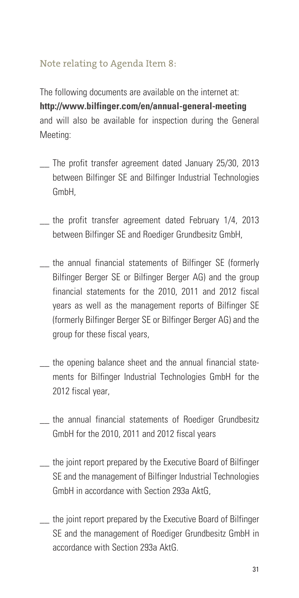## Note relating to Agenda Item 8:

The following documents are available on the internet at: **http://www.bilfinger.com/en/annual-general-meeting** and will also be available for inspection during the General Meeting:

- \_\_ The profit transfer agreement dated January 25/30, 2013 between Bilfinger SE and Bilfinger Industrial Technologies GmbH,
- the profit transfer agreement dated February 1/4, 2013 between Bilfinger SE and Roediger Grundbesitz GmbH,
- \_\_ the annual financial statements of Bilfinger SE (formerly Bilfinger Berger SE or Bilfinger Berger AG) and the group financial statements for the 2010, 2011 and 2012 fiscal years as well as the management reports of Bilfinger SE (formerly Bilfinger Berger SE or Bilfinger Berger AG) and the group for these fiscal years,
- \_\_ the opening balance sheet and the annual financial statements for Bilfinger Industrial Technologies GmbH for the 2012 fiscal year,
- the annual financial statements of Roediger Grundbesitz GmbH for the 2010, 2011 and 2012 fiscal years
- the joint report prepared by the Executive Board of Bilfinger SE and the management of Bilfinger Industrial Technologies GmbH in accordance with Section 293a AktG,
- \_\_ the joint report prepared by the Executive Board of Bilfinger SE and the management of Roediger Grundbesitz GmbH in accordance with Section 293a AktG.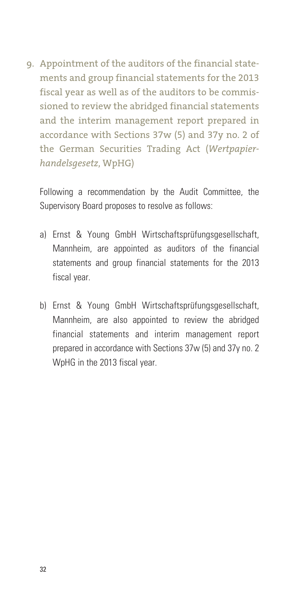9. Appointment of the auditors of the financial statements and group financial statements for the 2013 fiscal year as well as of the auditors to be commissioned to review the abridged financial statements and the interim management report prepared in accordance with Sections 37w (5) and 37y no. 2 of the German Securities Trading Act (*Wertpapierhandelsgesetz*, WpHG)

Following a recommendation by the Audit Committee, the Supervisory Board proposes to resolve as follows:

- a) Ernst & Young GmbH Wirtschaftsprüfungsgesellschaft, Mannheim, are appointed as auditors of the financial statements and group financial statements for the 2013 fiscal year.
- b) Ernst & Young GmbH Wirtschaftsprüfungsgesellschaft, Mannheim, are also appointed to review the abridged financial statements and interim management report prepared in accordance with Sections 37w (5) and 37y no. 2 WpHG in the 2013 fiscal year.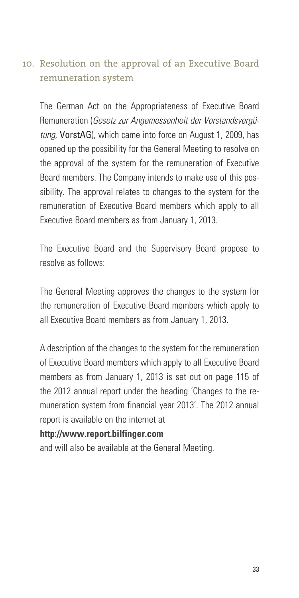# 10. Resolution on the approval of an Executive Board remuneration system

The German Act on the Appropriateness of Executive Board Remuneration (*Gesetz zur Angemessenheit der Vorstandsvergütung*, VorstAG), which came into force on August 1, 2009, has opened up the possibility for the General Meeting to resolve on the approval of the system for the remuneration of Executive Board members. The Company intends to make use of this possibility. The approval relates to changes to the system for the remuneration of Executive Board members which apply to all Executive Board members as from January 1, 2013.

The Executive Board and the Supervisory Board propose to resolve as follows:

The General Meeting approves the changes to the system for the remuneration of Executive Board members which apply to all Executive Board members as from January 1, 2013.

A description of the changes to the system for the remuneration of Executive Board members which apply to all Executive Board members as from January 1, 2013 is set out on page 115 of the 2012 annual report under the heading 'Changes to the remuneration system from financial year 2013'. The 2012 annual report is available on the internet at

#### **http://www.report.bilfinger.com**

and will also be available at the General Meeting.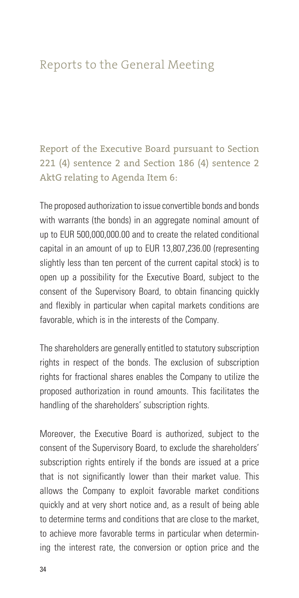# Reports to the General Meeting

Report of the Executive Board pursuant to Section 221 (4) sentence 2 and Section 186 (4) sentence 2 AktG relating to Agenda Item 6:

The proposed authorization to issue convertible bonds and bonds with warrants (the bonds) in an aggregate nominal amount of up to EUR 500,000,000.00 and to create the related conditional capital in an amount of up to EUR 13,807,236.00 (representing slightly less than ten percent of the current capital stock) is to open up a possibility for the Executive Board, subject to the consent of the Supervisory Board, to obtain financing quickly and flexibly in particular when capital markets conditions are favorable, which is in the interests of the Company.

The shareholders are generally entitled to statutory subscription rights in respect of the bonds. The exclusion of subscription rights for fractional shares enables the Company to utilize the proposed authorization in round amounts. This facilitates the handling of the shareholders' subscription rights.

Moreover, the Executive Board is authorized, subject to the consent of the Supervisory Board, to exclude the shareholders' subscription rights entirely if the bonds are issued at a price that is not significantly lower than their market value. This allows the Company to exploit favorable market conditions quickly and at very short notice and, as a result of being able to determine terms and conditions that are close to the market, to achieve more favorable terms in particular when determining the interest rate, the conversion or option price and the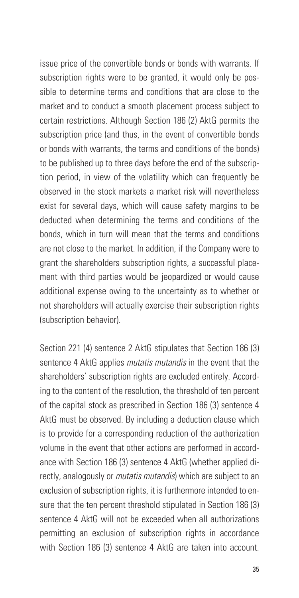issue price of the convertible bonds or bonds with warrants. If subscription rights were to be granted, it would only be possible to determine terms and conditions that are close to the market and to conduct a smooth placement process subject to certain restrictions. Although Section 186 (2) AktG permits the subscription price (and thus, in the event of convertible bonds or bonds with warrants, the terms and conditions of the bonds) to be published up to three days before the end of the subscription period, in view of the volatility which can frequently be observed in the stock markets a market risk will nevertheless exist for several days, which will cause safety margins to be deducted when determining the terms and conditions of the bonds, which in turn will mean that the terms and conditions are not close to the market. In addition, if the Company were to grant the shareholders subscription rights, a successful placement with third parties would be jeopardized or would cause additional expense owing to the uncertainty as to whether or not shareholders will actually exercise their subscription rights (subscription behavior).

Section 221 (4) sentence 2 AktG stipulates that Section 186 (3) sentence 4 AktG applies *mutatis mutandis* in the event that the shareholders' subscription rights are excluded entirely. According to the content of the resolution, the threshold of ten percent of the capital stock as prescribed in Section 186 (3) sentence 4 AktG must be observed. By including a deduction clause which is to provide for a corresponding reduction of the authorization volume in the event that other actions are performed in accordance with Section 186 (3) sentence 4 AktG (whether applied directly, analogously or *mutatis mutandis*) which are subject to an exclusion of subscription rights, it is furthermore intended to ensure that the ten percent threshold stipulated in Section 186 (3) sentence 4 AktG will not be exceeded when all authorizations permitting an exclusion of subscription rights in accordance with Section 186 (3) sentence 4 AktG are taken into account.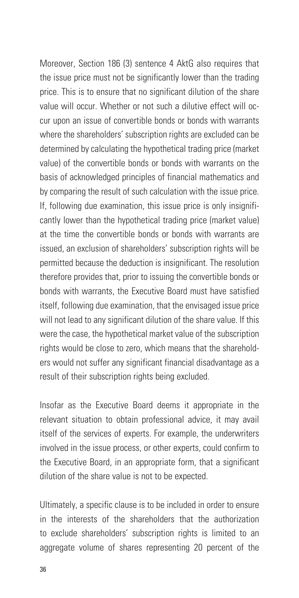Moreover, Section 186 (3) sentence 4 AktG also requires that the issue price must not be significantly lower than the trading price. This is to ensure that no significant dilution of the share value will occur. Whether or not such a dilutive effect will occur upon an issue of convertible bonds or bonds with warrants where the shareholders' subscription rights are excluded can be determined by calculating the hypothetical trading price (market value) of the convertible bonds or bonds with warrants on the basis of acknowledged principles of financial mathematics and by comparing the result of such calculation with the issue price. If, following due examination, this issue price is only insignificantly lower than the hypothetical trading price (market value) at the time the convertible bonds or bonds with warrants are issued, an exclusion of shareholders' subscription rights will be permitted because the deduction is insignificant. The resolution therefore provides that, prior to issuing the convertible bonds or bonds with warrants, the Executive Board must have satisfied itself, following due examination, that the envisaged issue price will not lead to any significant dilution of the share value. If this were the case, the hypothetical market value of the subscription rights would be close to zero, which means that the shareholders would not suffer any significant financial disadvantage as a result of their subscription rights being excluded.

Insofar as the Executive Board deems it appropriate in the relevant situation to obtain professional advice, it may avail itself of the services of experts. For example, the underwriters involved in the issue process, or other experts, could confirm to the Executive Board, in an appropriate form, that a significant dilution of the share value is not to be expected.

Ultimately, a specific clause is to be included in order to ensure in the interests of the shareholders that the authorization to exclude shareholders' subscription rights is limited to an aggregate volume of shares representing 20 percent of the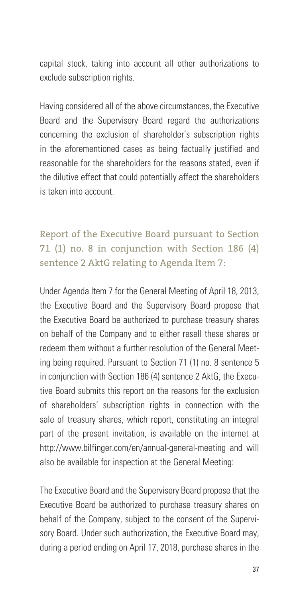capital stock, taking into account all other authorizations to exclude subscription rights.

Having considered all of the above circumstances, the Executive Board and the Supervisory Board regard the authorizations concerning the exclusion of shareholder's subscription rights in the aforementioned cases as being factually justified and reasonable for the shareholders for the reasons stated, even if the dilutive effect that could potentially affect the shareholders is taken into account.

Report of the Executive Board pursuant to Section 71 (1) no. 8 in conjunction with Section 186 (4) sentence 2 AktG relating to Agenda Item 7:

Under Agenda Item 7 for the General Meeting of April 18, 2013, the Executive Board and the Supervisory Board propose that the Executive Board be authorized to purchase treasury shares on behalf of the Company and to either resell these shares or redeem them without a further resolution of the General Meeting being required. Pursuant to Section 71 (1) no. 8 sentence 5 in conjunction with Section 186 (4) sentence 2 AktG, the Executive Board submits this report on the reasons for the exclusion of shareholders' subscription rights in connection with the sale of treasury shares, which report, constituting an integral part of the present invitation, is available on the internet at http://www.bilfinger.com/en/annual-general-meeting and will also be available for inspection at the General Meeting:

The Executive Board and the Supervisory Board propose that the Executive Board be authorized to purchase treasury shares on behalf of the Company, subject to the consent of the Supervisory Board. Under such authorization, the Executive Board may, during a period ending on April 17, 2018, purchase shares in the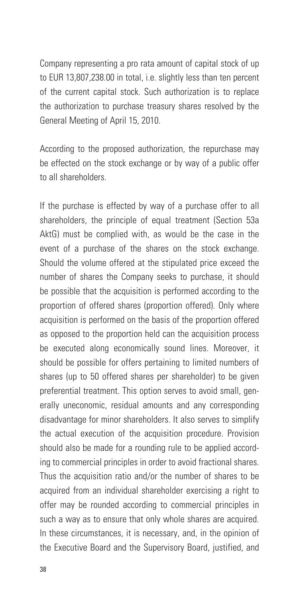Company representing a pro rata amount of capital stock of up to EUR 13,807,238.00 in total, i.e. slightly less than ten percent of the current capital stock. Such authorization is to replace the authorization to purchase treasury shares resolved by the General Meeting of April 15, 2010.

According to the proposed authorization, the repurchase may be effected on the stock exchange or by way of a public offer to all shareholders.

If the purchase is effected by way of a purchase offer to all shareholders, the principle of equal treatment (Section 53a AktG) must be complied with, as would be the case in the event of a purchase of the shares on the stock exchange. Should the volume offered at the stipulated price exceed the number of shares the Company seeks to purchase, it should be possible that the acquisition is performed according to the proportion of offered shares (proportion offered). Only where acquisition is performed on the basis of the proportion offered as opposed to the proportion held can the acquisition process be executed along economically sound lines. Moreover, it should be possible for offers pertaining to limited numbers of shares (up to 50 offered shares per shareholder) to be given preferential treatment. This option serves to avoid small, generally uneconomic, residual amounts and any corresponding disadvantage for minor shareholders. It also serves to simplify the actual execution of the acquisition procedure. Provision should also be made for a rounding rule to be applied according to commercial principles in order to avoid fractional shares. Thus the acquisition ratio and/or the number of shares to be acquired from an individual shareholder exercising a right to offer may be rounded according to commercial principles in such a way as to ensure that only whole shares are acquired. In these circumstances, it is necessary, and, in the opinion of the Executive Board and the Supervisory Board, justified, and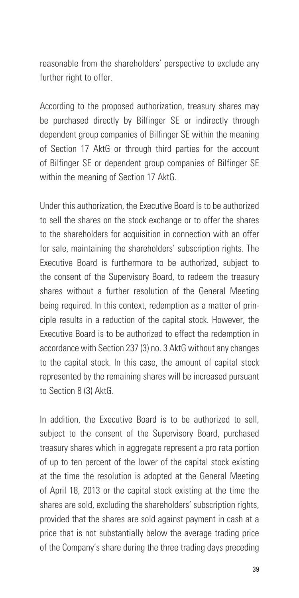reasonable from the shareholders' perspective to exclude any further right to offer.

According to the proposed authorization, treasury shares may be purchased directly by Bilfinger SE or indirectly through dependent group companies of Bilfinger SE within the meaning of Section 17 AktG or through third parties for the account of Bilfinger SE or dependent group companies of Bilfinger SE within the meaning of Section 17 AktG.

Under this authorization, the Executive Board is to be authorized to sell the shares on the stock exchange or to offer the shares to the shareholders for acquisition in connection with an offer for sale, maintaining the shareholders' subscription rights. The Executive Board is furthermore to be authorized, subject to the consent of the Supervisory Board, to redeem the treasury shares without a further resolution of the General Meeting being required. In this context, redemption as a matter of principle results in a reduction of the capital stock. However, the Executive Board is to be authorized to effect the redemption in accordance with Section 237 (3) no. 3 AktG without any changes to the capital stock. In this case, the amount of capital stock represented by the remaining shares will be increased pursuant to Section 8 (3) AktG.

In addition, the Executive Board is to be authorized to sell, subject to the consent of the Supervisory Board, purchased treasury shares which in aggregate represent a pro rata portion of up to ten percent of the lower of the capital stock existing at the time the resolution is adopted at the General Meeting of April 18, 2013 or the capital stock existing at the time the shares are sold, excluding the shareholders' subscription rights, provided that the shares are sold against payment in cash at a price that is not substantially below the average trading price of the Company's share during the three trading days preceding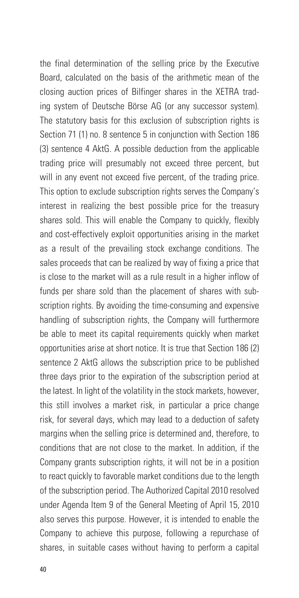the final determination of the selling price by the Executive Board, calculated on the basis of the arithmetic mean of the closing auction prices of Bilfinger shares in the XETRA trading system of Deutsche Börse AG (or any successor system). The statutory basis for this exclusion of subscription rights is Section 71 (1) no. 8 sentence 5 in conjunction with Section 186 (3) sentence 4 AktG. A possible deduction from the applicable trading price will presumably not exceed three percent, but will in any event not exceed five percent, of the trading price. This option to exclude subscription rights serves the Company's interest in realizing the best possible price for the treasury shares sold. This will enable the Company to quickly, flexibly and cost-effectively exploit opportunities arising in the market as a result of the prevailing stock exchange conditions. The sales proceeds that can be realized by way of fixing a price that is close to the market will as a rule result in a higher inflow of funds per share sold than the placement of shares with subscription rights. By avoiding the time-consuming and expensive handling of subscription rights, the Company will furthermore be able to meet its capital requirements quickly when market opportunities arise at short notice. It is true that Section 186 (2) sentence 2 AktG allows the subscription price to be published three days prior to the expiration of the subscription period at the latest. In light of the volatility in the stock markets, however, this still involves a market risk, in particular a price change risk, for several days, which may lead to a deduction of safety margins when the selling price is determined and, therefore, to conditions that are not close to the market. In addition, if the Company grants subscription rights, it will not be in a position to react quickly to favorable market conditions due to the length of the subscription period. The Authorized Capital 2010 resolved under Agenda Item 9 of the General Meeting of April 15, 2010 also serves this purpose. However, it is intended to enable the Company to achieve this purpose, following a repurchase of shares, in suitable cases without having to perform a capital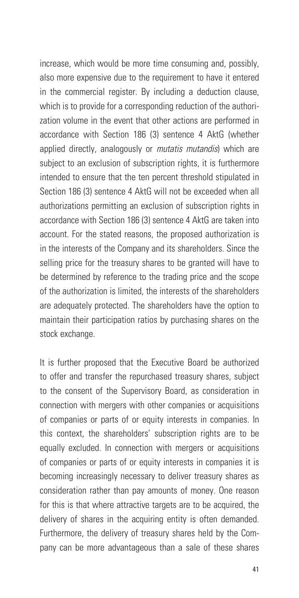increase, which would be more time consuming and, possibly, also more expensive due to the requirement to have it entered in the commercial register. By including a deduction clause, which is to provide for a corresponding reduction of the authorization volume in the event that other actions are performed in accordance with Section 186 (3) sentence 4 AktG (whether applied directly, analogously or *mutatis mutandis*) which are subject to an exclusion of subscription rights, it is furthermore intended to ensure that the ten percent threshold stipulated in Section 186 (3) sentence 4 AktG will not be exceeded when all authorizations permitting an exclusion of subscription rights in accordance with Section 186 (3) sentence 4 AktG are taken into account. For the stated reasons, the proposed authorization is in the interests of the Company and its shareholders. Since the selling price for the treasury shares to be granted will have to be determined by reference to the trading price and the scope of the authorization is limited, the interests of the shareholders are adequately protected. The shareholders have the option to maintain their participation ratios by purchasing shares on the stock exchange.

It is further proposed that the Executive Board be authorized to offer and transfer the repurchased treasury shares, subject to the consent of the Supervisory Board, as consideration in connection with mergers with other companies or acquisitions of companies or parts of or equity interests in companies. In this context, the shareholders' subscription rights are to be equally excluded. In connection with mergers or acquisitions of companies or parts of or equity interests in companies it is becoming increasingly necessary to deliver treasury shares as consideration rather than pay amounts of money. One reason for this is that where attractive targets are to be acquired, the delivery of shares in the acquiring entity is often demanded. Furthermore, the delivery of treasury shares held by the Company can be more advantageous than a sale of these shares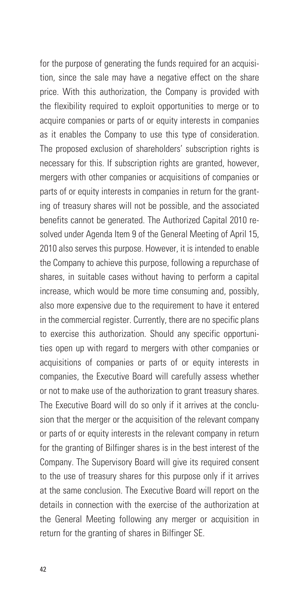for the purpose of generating the funds required for an acquisition, since the sale may have a negative effect on the share price. With this authorization, the Company is provided with the flexibility required to exploit opportunities to merge or to acquire companies or parts of or equity interests in companies as it enables the Company to use this type of consideration. The proposed exclusion of shareholders' subscription rights is necessary for this. If subscription rights are granted, however, mergers with other companies or acquisitions of companies or parts of or equity interests in companies in return for the granting of treasury shares will not be possible, and the associated benefits cannot be generated. The Authorized Capital 2010 resolved under Agenda Item 9 of the General Meeting of April 15, 2010 also serves this purpose. However, it is intended to enable the Company to achieve this purpose, following a repurchase of shares, in suitable cases without having to perform a capital increase, which would be more time consuming and, possibly, also more expensive due to the requirement to have it entered in the commercial register. Currently, there are no specific plans to exercise this authorization. Should any specific opportunities open up with regard to mergers with other companies or acquisitions of companies or parts of or equity interests in companies, the Executive Board will carefully assess whether or not to make use of the authorization to grant treasury shares. The Executive Board will do so only if it arrives at the conclusion that the merger or the acquisition of the relevant company or parts of or equity interests in the relevant company in return for the granting of Bilfinger shares is in the best interest of the Company. The Supervisory Board will give its required consent to the use of treasury shares for this purpose only if it arrives at the same conclusion. The Executive Board will report on the details in connection with the exercise of the authorization at the General Meeting following any merger or acquisition in return for the granting of shares in Bilfinger SE.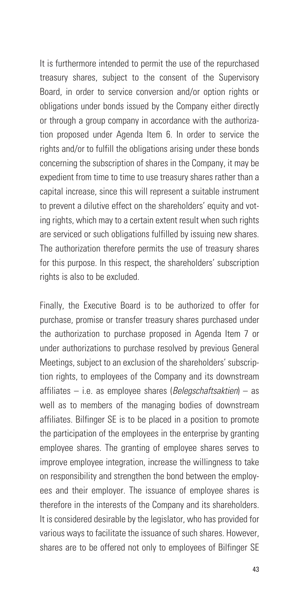It is furthermore intended to permit the use of the repurchased treasury shares, subject to the consent of the Supervisory Board, in order to service conversion and/or option rights or obligations under bonds issued by the Company either directly or through a group company in accordance with the authorization proposed under Agenda Item 6. In order to service the rights and/or to fulfill the obligations arising under these bonds concerning the subscription of shares in the Company, it may be expedient from time to time to use treasury shares rather than a capital increase, since this will represent a suitable instrument to prevent a dilutive effect on the shareholders' equity and voting rights, which may to a certain extent result when such rights are serviced or such obligations fulfilled by issuing new shares. The authorization therefore permits the use of treasury shares for this purpose. In this respect, the shareholders' subscription rights is also to be excluded.

Finally, the Executive Board is to be authorized to offer for purchase, promise or transfer treasury shares purchased under the authorization to purchase proposed in Agenda Item 7 or under authorizations to purchase resolved by previous General Meetings, subject to an exclusion of the shareholders' subscription rights, to employees of the Company and its downstream affiliates – i.e. as employee shares (*Belegschaftsaktien*) – as well as to members of the managing bodies of downstream affiliates. Bilfinger SE is to be placed in a position to promote the participation of the employees in the enterprise by granting employee shares. The granting of employee shares serves to improve employee integration, increase the willingness to take on responsibility and strengthen the bond between the employees and their employer. The issuance of employee shares is therefore in the interests of the Company and its shareholders. It is considered desirable by the legislator, who has provided for various ways to facilitate the issuance of such shares. However, shares are to be offered not only to employees of Bilfinger SE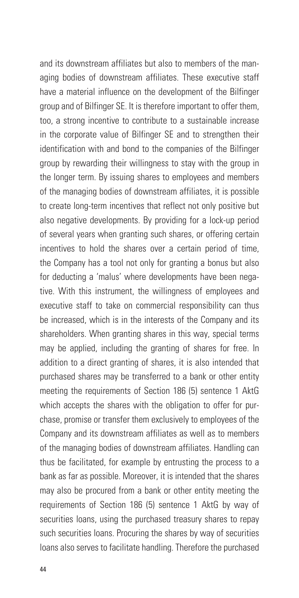and its downstream affiliates but also to members of the managing bodies of downstream affiliates. These executive staff have a material influence on the development of the Bilfinger group and of Bilfinger SE. It is therefore important to offer them, too, a strong incentive to contribute to a sustainable increase in the corporate value of Bilfinger SE and to strengthen their identification with and bond to the companies of the Bilfinger group by rewarding their willingness to stay with the group in the longer term. By issuing shares to employees and members of the managing bodies of downstream affiliates, it is possible to create long-term incentives that reflect not only positive but also negative developments. By providing for a lock-up period of several years when granting such shares, or offering certain incentives to hold the shares over a certain period of time, the Company has a tool not only for granting a bonus but also for deducting a 'malus' where developments have been negative. With this instrument, the willingness of employees and executive staff to take on commercial responsibility can thus be increased, which is in the interests of the Company and its shareholders. When granting shares in this way, special terms may be applied, including the granting of shares for free. In addition to a direct granting of shares, it is also intended that purchased shares may be transferred to a bank or other entity meeting the requirements of Section 186 (5) sentence 1 AktG which accepts the shares with the obligation to offer for purchase, promise or transfer them exclusively to employees of the Company and its downstream affiliates as well as to members of the managing bodies of downstream affiliates. Handling can thus be facilitated, for example by entrusting the process to a bank as far as possible. Moreover, it is intended that the shares may also be procured from a bank or other entity meeting the requirements of Section 186 (5) sentence 1 AktG by way of securities loans, using the purchased treasury shares to repay such securities loans. Procuring the shares by way of securities loans also serves to facilitate handling. Therefore the purchased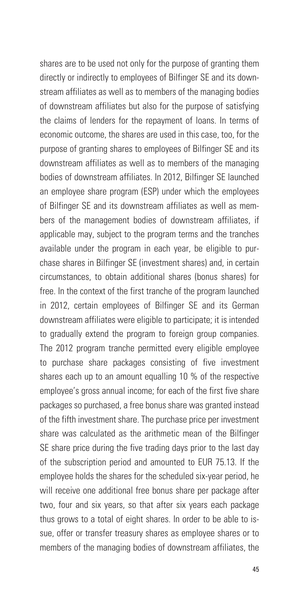shares are to be used not only for the purpose of granting them directly or indirectly to employees of Bilfinger SE and its downstream affiliates as well as to members of the managing bodies of downstream affiliates but also for the purpose of satisfying the claims of lenders for the repayment of loans. In terms of economic outcome, the shares are used in this case, too, for the purpose of granting shares to employees of Bilfinger SE and its downstream affiliates as well as to members of the managing bodies of downstream affiliates. In 2012, Bilfinger SE launched an employee share program (ESP) under which the employees of Bilfinger SE and its downstream affiliates as well as members of the management bodies of downstream affiliates, if applicable may, subject to the program terms and the tranches available under the program in each year, be eligible to purchase shares in Bilfinger SE (investment shares) and, in certain circumstances, to obtain additional shares (bonus shares) for free. In the context of the first tranche of the program launched in 2012, certain employees of Bilfinger SE and its German downstream affiliates were eligible to participate; it is intended to gradually extend the program to foreign group companies. The 2012 program tranche permitted every eligible employee to purchase share packages consisting of five investment shares each up to an amount equalling 10 % of the respective employee's gross annual income; for each of the first five share packages so purchased, a free bonus share was granted instead of the fifth investment share. The purchase price per investment share was calculated as the arithmetic mean of the Bilfinger SE share price during the five trading days prior to the last day of the subscription period and amounted to EUR 75.13. If the employee holds the shares for the scheduled six-year period, he will receive one additional free bonus share per package after two, four and six years, so that after six years each package thus grows to a total of eight shares. In order to be able to issue, offer or transfer treasury shares as employee shares or to members of the managing bodies of downstream affiliates, the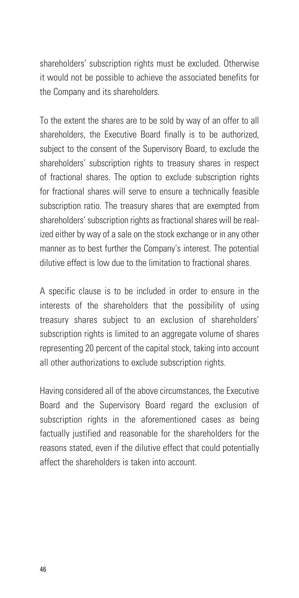shareholders' subscription rights must be excluded. Otherwise it would not be possible to achieve the associated benefits for the Company and its shareholders.

To the extent the shares are to be sold by way of an offer to all shareholders, the Executive Board finally is to be authorized, subject to the consent of the Supervisory Board, to exclude the shareholders' subscription rights to treasury shares in respect of fractional shares. The option to exclude subscription rights for fractional shares will serve to ensure a technically feasible subscription ratio. The treasury shares that are exempted from shareholders' subscription rights as fractional shares will be realized either by way of a sale on the stock exchange or in any other manner as to best further the Company's interest. The potential dilutive effect is low due to the limitation to fractional shares.

A specific clause is to be included in order to ensure in the interests of the shareholders that the possibility of using treasury shares subject to an exclusion of shareholders' subscription rights is limited to an aggregate volume of shares representing 20 percent of the capital stock, taking into account all other authorizations to exclude subscription rights.

Having considered all of the above circumstances, the Executive Board and the Supervisory Board regard the exclusion of subscription rights in the aforementioned cases as being factually justified and reasonable for the shareholders for the reasons stated, even if the dilutive effect that could potentially affect the shareholders is taken into account.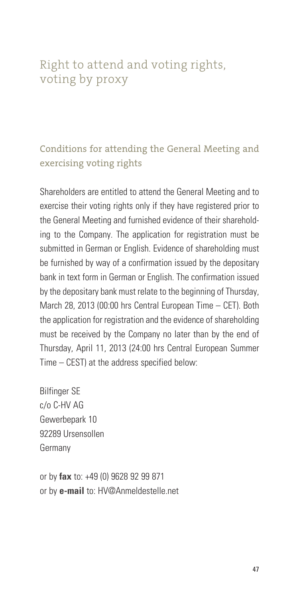# Right to attend and voting rights, voting by proxy

# Conditions for attending the General Meeting and exercising voting rights

Shareholders are entitled to attend the General Meeting and to exercise their voting rights only if they have registered prior to the General Meeting and furnished evidence of their shareholding to the Company. The application for registration must be submitted in German or English. Evidence of shareholding must be furnished by way of a confirmation issued by the depositary bank in text form in German or English. The confirmation issued by the depositary bank must relate to the beginning of Thursday, March 28, 2013 (00:00 hrs Central European Time – CET). Both the application for registration and the evidence of shareholding must be received by the Company no later than by the end of Thursday, April 11, 2013 (24:00 hrs Central European Summer Time – CEST) at the address specified below:

Bilfinger SE c/o C-HV AG Gewerbepark 10 92289 Ursensollen Germany

or by **fax** to: +49 (0) 9628 92 99 871 or by **e-mail** to: HV@Anmeldestelle.net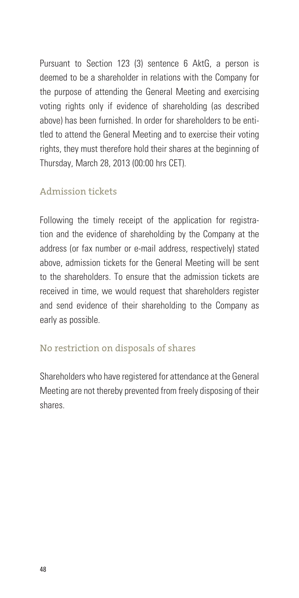Pursuant to Section 123 (3) sentence 6 AktG, a person is deemed to be a shareholder in relations with the Company for the purpose of attending the General Meeting and exercising voting rights only if evidence of shareholding (as described above) has been furnished. In order for shareholders to be entitled to attend the General Meeting and to exercise their voting rights, they must therefore hold their shares at the beginning of Thursday, March 28, 2013 (00:00 hrs CET).

### Admission tickets

Following the timely receipt of the application for registration and the evidence of shareholding by the Company at the address (or fax number or e-mail address, respectively) stated above, admission tickets for the General Meeting will be sent to the shareholders. To ensure that the admission tickets are received in time, we would request that shareholders register and send evidence of their shareholding to the Company as early as possible.

### No restriction on disposals of shares

Shareholders who have registered for attendance at the General Meeting are not thereby prevented from freely disposing of their shares.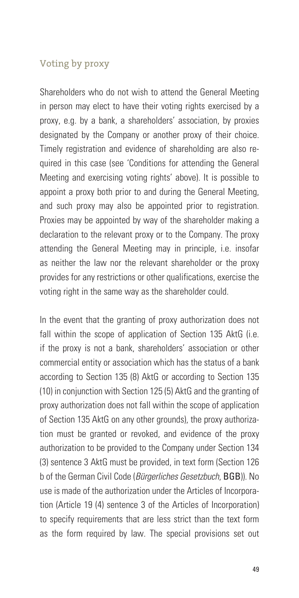#### Voting by proxy

Shareholders who do not wish to attend the General Meeting in person may elect to have their voting rights exercised by a proxy, e.g. by a bank, a shareholders' association, by proxies designated by the Company or another proxy of their choice. Timely registration and evidence of shareholding are also required in this case (see 'Conditions for attending the General Meeting and exercising voting rights' above). It is possible to appoint a proxy both prior to and during the General Meeting, and such proxy may also be appointed prior to registration. Proxies may be appointed by way of the shareholder making a declaration to the relevant proxy or to the Company. The proxy attending the General Meeting may in principle, i.e. insofar as neither the law nor the relevant shareholder or the proxy provides for any restrictions or other qualifications, exercise the voting right in the same way as the shareholder could.

In the event that the granting of proxy authorization does not fall within the scope of application of Section 135 AktG (i.e. if the proxy is not a bank, shareholders' association or other commercial entity or association which has the status of a bank according to Section 135 (8) AktG or according to Section 135 (10) in conjunction with Section 125 (5) AktG and the granting of proxy authorization does not fall within the scope of application of Section 135 AktG on any other grounds), the proxy authorization must be granted or revoked, and evidence of the proxy authorization to be provided to the Company under Section 134 (3) sentence 3 AktG must be provided, in text form (Section 126 b of the German Civil Code (*Bürgerliches Gesetzbuch*, BGB)). No use is made of the authorization under the Articles of Incorporation (Article 19 (4) sentence 3 of the Articles of Incorporation) to specify requirements that are less strict than the text form as the form required by law. The special provisions set out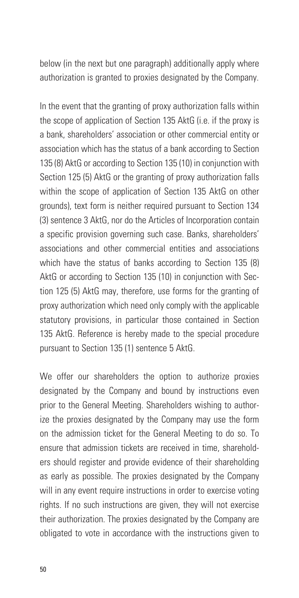below (in the next but one paragraph) additionally apply where authorization is granted to proxies designated by the Company.

In the event that the granting of proxy authorization falls within the scope of application of Section 135 AktG (i.e. if the proxy is a bank, shareholders' association or other commercial entity or association which has the status of a bank according to Section 135 (8) AktG or according to Section 135 (10) in conjunction with Section 125 (5) AktG or the granting of proxy authorization falls within the scope of application of Section 135 AktG on other grounds), text form is neither required pursuant to Section 134 (3) sentence 3 AktG, nor do the Articles of Incorporation contain a specific provision governing such case. Banks, shareholders' associations and other commercial entities and associations which have the status of banks according to Section 135 (8) AktG or according to Section 135 (10) in conjunction with Section 125 (5) AktG may, therefore, use forms for the granting of proxy authorization which need only comply with the applicable statutory provisions, in particular those contained in Section 135 AktG. Reference is hereby made to the special procedure pursuant to Section 135 (1) sentence 5 AktG.

We offer our shareholders the option to authorize proxies designated by the Company and bound by instructions even prior to the General Meeting. Shareholders wishing to authorize the proxies designated by the Company may use the form on the admission ticket for the General Meeting to do so. To ensure that admission tickets are received in time, shareholders should register and provide evidence of their shareholding as early as possible. The proxies designated by the Company will in any event require instructions in order to exercise voting rights. If no such instructions are given, they will not exercise their authorization. The proxies designated by the Company are obligated to vote in accordance with the instructions given to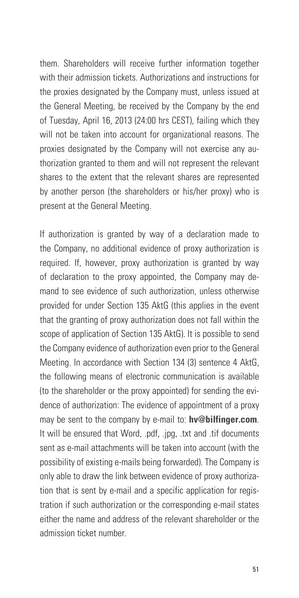them. Shareholders will receive further information together with their admission tickets. Authorizations and instructions for the proxies designated by the Company must, unless issued at the General Meeting, be received by the Company by the end of Tuesday, April 16, 2013 (24:00 hrs CEST), failing which they will not be taken into account for organizational reasons. The proxies designated by the Company will not exercise any authorization granted to them and will not represent the relevant shares to the extent that the relevant shares are represented by another person (the shareholders or his/her proxy) who is present at the General Meeting.

If authorization is granted by way of a declaration made to the Company, no additional evidence of proxy authorization is required. If, however, proxy authorization is granted by way of declaration to the proxy appointed, the Company may demand to see evidence of such authorization, unless otherwise provided for under Section 135 AktG (this applies in the event that the granting of proxy authorization does not fall within the scope of application of Section 135 AktG). It is possible to send the Company evidence of authorization even prior to the General Meeting. In accordance with Section 134 (3) sentence 4 AktG, the following means of electronic communication is available (to the shareholder or the proxy appointed) for sending the evidence of authorization: The evidence of appointment of a proxy may be sent to the company by e-mail to: **hv@bilfinger.com**. It will be ensured that Word, .pdf. .jpg, .txt and .tif documents sent as e-mail attachments will be taken into account (with the possibility of existing e-mails being forwarded). The Company is only able to draw the link between evidence of proxy authorization that is sent by e-mail and a specific application for registration if such authorization or the corresponding e-mail states either the name and address of the relevant shareholder or the admission ticket number.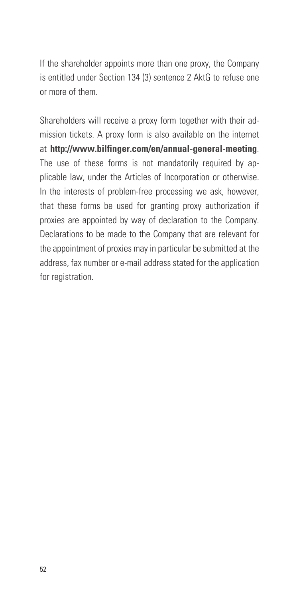If the shareholder appoints more than one proxy, the Company is entitled under Section 134 (3) sentence 2 AktG to refuse one or more of them.

Shareholders will receive a proxy form together with their admission tickets. A proxy form is also available on the internet at **http://www.bilfinger.com/en/annual-general-meeting**. The use of these forms is not mandatorily required by applicable law, under the Articles of Incorporation or otherwise. In the interests of problem-free processing we ask, however, that these forms be used for granting proxy authorization if proxies are appointed by way of declaration to the Company. Declarations to be made to the Company that are relevant for the appointment of proxies may in particular be submitted at the address, fax number or e-mail address stated for the application for registration.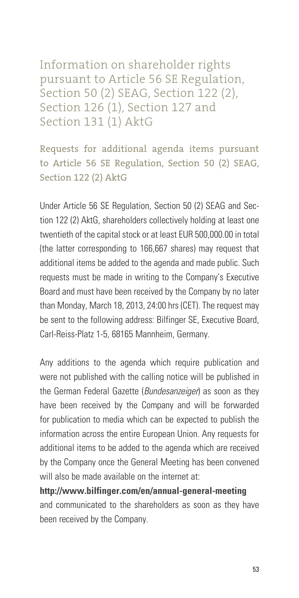Information on shareholder rights pursuant to Article 56 SE Regulation, Section 50 (2) SEAG, Section 122 (2), Section 126 (1), Section 127 and Section 131 (1) AktG

Requests for additional agenda items pursuant to Article 56 SE Regulation, Section 50 (2) SEAG, Section 122 (2) AktG

Under Article 56 SE Regulation, Section 50 (2) SEAG and Section 122 (2) AktG, shareholders collectively holding at least one twentieth of the capital stock or at least EUR 500,000.00 in total (the latter corresponding to 166,667 shares) may request that additional items be added to the agenda and made public. Such requests must be made in writing to the Company's Executive Board and must have been received by the Company by no later than Monday, March 18, 2013, 24:00 hrs (CET). The request may be sent to the following address: Bilfinger SE, Executive Board, Carl-Reiss-Platz 1-5, 68165 Mannheim, Germany.

Any additions to the agenda which require publication and were not published with the calling notice will be published in the German Federal Gazette (*Bundesanzeiger*) as soon as they have been received by the Company and will be forwarded for publication to media which can be expected to publish the information across the entire European Union. Any requests for additional items to be added to the agenda which are received by the Company once the General Meeting has been convened will also be made available on the internet at:

**http://www.bilfinger.com/en/annual-general-meeting** and communicated to the shareholders as soon as they have been received by the Company.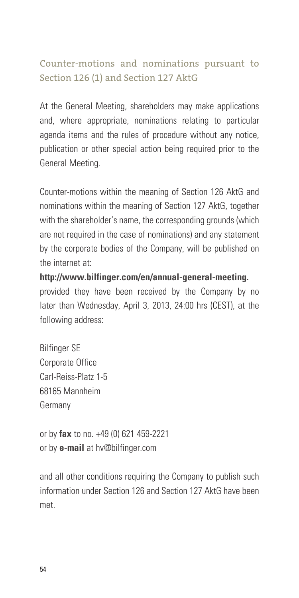# Counter-motions and nominations pursuant to Section 126 (1) and Section 127 AktG

At the General Meeting, shareholders may make applications and, where appropriate, nominations relating to particular agenda items and the rules of procedure without any notice, publication or other special action being required prior to the General Meeting.

Counter-motions within the meaning of Section 126 AktG and nominations within the meaning of Section 127 AktG, together with the shareholder's name, the corresponding grounds (which are not required in the case of nominations) and any statement by the corporate bodies of the Company, will be published on the internet at:

**http://www.bilfinger.com/en/annual-general-meeting.** provided they have been received by the Company by no later than Wednesday, April 3, 2013, 24:00 hrs (CEST), at the following address:

Bilfinger SE Corporate Office Carl-Reiss-Platz 1-5 68165 Mannheim Germany

or by **fax** to no. +49 (0) 621 459-2221 or by **e-mail** at hv@bilfinger.com

and all other conditions requiring the Company to publish such information under Section 126 and Section 127 AktG have been met.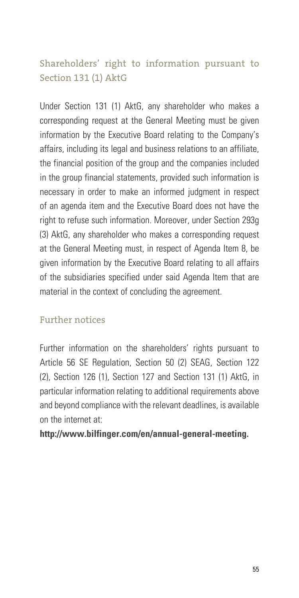# Shareholders' right to information pursuant to Section 131 (1) AktG

Under Section 131 (1) AktG, any shareholder who makes a corresponding request at the General Meeting must be given information by the Executive Board relating to the Company's affairs, including its legal and business relations to an affiliate, the financial position of the group and the companies included in the group financial statements, provided such information is necessary in order to make an informed judgment in respect of an agenda item and the Executive Board does not have the right to refuse such information. Moreover, under Section 293g (3) AktG, any shareholder who makes a corresponding request at the General Meeting must, in respect of Agenda Item 8, be given information by the Executive Board relating to all affairs of the subsidiaries specified under said Agenda Item that are material in the context of concluding the agreement.

#### Further notices

Further information on the shareholders' rights pursuant to Article 56 SE Regulation, Section 50 (2) SEAG, Section 122 (2), Section 126 (1), Section 127 and Section 131 (1) AktG, in particular information relating to additional requirements above and beyond compliance with the relevant deadlines, is available on the internet at:

#### **http://www.bilfinger.com/en/annual-general-meeting.**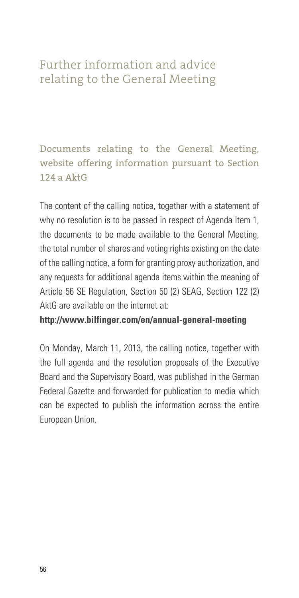# Further information and advice relating to the General Meeting

Documents relating to the General Meeting, website offering information pursuant to Section  $124a$  AktG

The content of the calling notice, together with a statement of why no resolution is to be passed in respect of Agenda Item 1, the documents to be made available to the General Meeting, the total number of shares and voting rights existing on the date of the calling notice, a form for granting proxy authorization, and any requests for additional agenda items within the meaning of Article 56 SE Regulation, Section 50 (2) SEAG, Section 122 (2) AktG are available on the internet at:

#### **http://www.bilfinger.com/en/annual-general-meeting**

On Monday, March 11, 2013, the calling notice, together with the full agenda and the resolution proposals of the Executive Board and the Supervisory Board, was published in the German Federal Gazette and forwarded for publication to media which can be expected to publish the information across the entire European Union.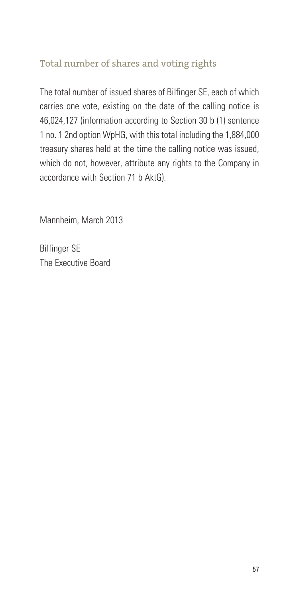# Total number of shares and voting rights

The total number of issued shares of Bilfinger SE, each of which carries one vote, existing on the date of the calling notice is 46,024,127 (information according to Section 30 b (1) sentence 1 no. 1 2nd option WpHG, with this total including the 1,884,000 treasury shares held at the time the calling notice was issued, which do not, however, attribute any rights to the Company in accordance with Section 71 b AktG).

Mannheim, March 2013

Bilfinger SE The Executive Board